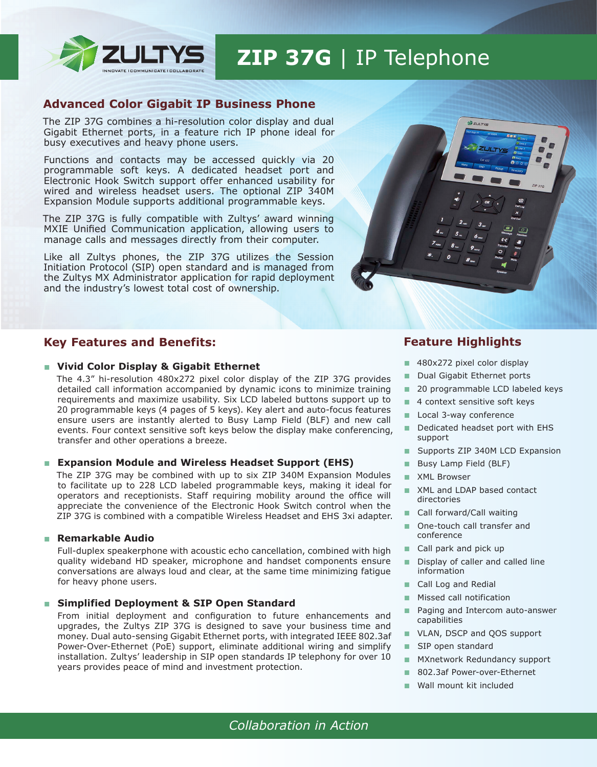

## **ZIP 37G** | IP Telephone

## **Advanced Color Gigabit IP Business Phone**

The ZIP 37G combines a hi-resolution color display and dual Gigabit Ethernet ports, in a feature rich IP phone ideal for busy executives and heavy phone users.

Functions and contacts may be accessed quickly via 20 programmable soft keys. A dedicated headset port and Electronic Hook Switch support offer enhanced usability for wired and wireless headset users. The optional ZIP 340M Expansion Module supports additional programmable keys.

The ZIP 37G is fully compatible with Zultys' award winning MXIE Unified Communication application, allowing users to manage calls and messages directly from their computer.

Like all Zultys phones, the ZIP 37G utilizes the Session Initiation Protocol (SIP) open standard and is managed from the Zultys MX Administrator application for rapid deployment and the industry's lowest total cost of ownership.



## **Key Features and Benefits:**

#### ■ Vivid Color Display & Gigabit Ethernet

The 4.3" hi-resolution 480x272 pixel color display of the ZIP 37G provides detailed call information accompanied by dynamic icons to minimize training requirements and maximize usability. Six LCD labeled buttons support up to 20 programmable keys (4 pages of 5 keys). Key alert and auto-focus features ensure users are instantly alerted to Busy Lamp Field (BLF) and new call events. Four context sensitive soft keys below the display make conferencing, transfer and other operations a breeze.

#### ■ **Expansion Module and Wireless Headset Support (EHS)**

The ZIP 37G may be combined with up to six ZIP 340M Expansion Modules to facilitate up to 228 LCD labeled programmable keys, making it ideal for operators and receptionists. Staff requiring mobility around the office will appreciate the convenience of the Electronic Hook Switch control when the ZIP 37G is combined with a compatible Wireless Headset and EHS 3xi adapter.

#### ■ **Remarkable Audio**

Full-duplex speakerphone with acoustic echo cancellation, combined with high quality wideband HD speaker, microphone and handset components ensure conversations are always loud and clear, at the same time minimizing fatigue for heavy phone users.

#### **Simplified Deployment & SIP Open Standard**

From initial deployment and configuration to future enhancements and upgrades, the Zultys ZIP 37G is designed to save your business time and money. Dual auto-sensing Gigabit Ethernet ports, with integrated IEEE 802.3af Power-Over-Ethernet (PoE) support, eliminate additional wiring and simplify installation. Zultys' leadership in SIP open standards IP telephony for over 10 years provides peace of mind and investment protection.

## **Feature Highlights**

- 480x272 pixel color display
- Dual Gigabit Ethernet ports
- 20 programmable LCD labeled keys
- 4 context sensitive soft keys
- Local 3-way conference
- Dedicated headset port with EHS support
- Supports ZIP 340M LCD Expansion
- Busy Lamp Field (BLF)
- XML Browser
- XML and LDAP based contact directories
- Call forward/Call waiting
- One-touch call transfer and conference
- Call park and pick up
- Display of caller and called line information
- Call Log and Redial
- Missed call notification
- Paging and Intercom auto-answer capabilities
- VLAN, DSCP and QOS support
- SIP open standard
- MXnetwork Redundancy support
- 802.3af Power-over-Ethernet
- Wall mount kit included